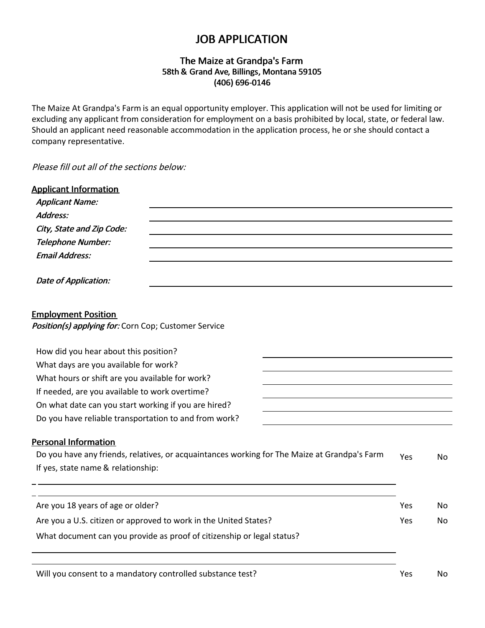# JOB APPLICATION

# The Maize at Grandpa's Farm 58th & Grand Ave, Billings, Montana 59105 (406) 696-0146

The Maize At Grandpa's Farm is an equal opportunity employer. This application will not be used for limiting or excluding any applicant from consideration for employment on a basis prohibited by local, state, or federal law. Should an applicant need reasonable accommodation in the application process, he or she should contact a company representative.

Please fill out all of the sections below:

| <b>Applicant Information</b>                                                                 |     |     |
|----------------------------------------------------------------------------------------------|-----|-----|
| <b>Applicant Name:</b>                                                                       |     |     |
| Address:                                                                                     |     |     |
| City, State and Zip Code:                                                                    |     |     |
| <b>Telephone Number:</b>                                                                     |     |     |
| <b>Email Address:</b>                                                                        |     |     |
| <b>Date of Application:</b>                                                                  |     |     |
| <b>Employment Position</b><br>Position(s) applying for: Corn Cop; Customer Service           |     |     |
| How did you hear about this position?                                                        |     |     |
| What days are you available for work?                                                        |     |     |
| What hours or shift are you available for work?                                              |     |     |
| If needed, are you available to work overtime?                                               |     |     |
| On what date can you start working if you are hired?                                         |     |     |
| Do you have reliable transportation to and from work?                                        |     |     |
| <b>Personal Information</b>                                                                  |     |     |
| Do you have any friends, relatives, or acquaintances working for The Maize at Grandpa's Farm | Yes | No  |
| If yes, state name & relationship:                                                           |     |     |
|                                                                                              |     |     |
| Are you 18 years of age or older?                                                            | Yes | No. |
| Are you a U.S. citizen or approved to work in the United States?                             | Yes | No. |
| What document can you provide as proof of citizenship or legal status?                       |     |     |
|                                                                                              |     |     |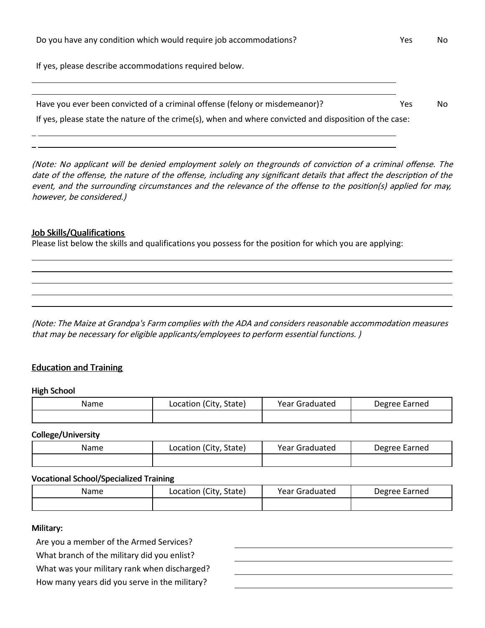If yes, please describe accommodations required below.

| Have you ever been convicted of a criminal offense (felony or misdemeanor)?                            | Yes | No. |
|--------------------------------------------------------------------------------------------------------|-----|-----|
| If yes, please state the nature of the crime(s), when and where convicted and disposition of the case: |     |     |

(Note: No applicant will be denied employment solely on thegrounds of conviction of a criminal offense. The date of the offense, the nature of the offense, including any significant details that affect the description of the event, and the surrounding circumstances and the relevance of the offense to the position(s) applied for may, however, be considered.)

### Job Skills/Qualifications

Please list below the skills and qualifications you possess for the position for which you are applying:

(Note: The Maize at Grandpa's Farmcomplies with the ADA and considers reasonable accommodation measures that may be necessary for eligible applicants/employees to perform essential functions. )

## Education and Training

#### High School

| Name | Location (City, State) | Year Graduated | Degree Earned |
|------|------------------------|----------------|---------------|
|      |                        |                |               |

#### College/University

| Name | Location (City, State) | Year Graduated | Degree Larned |
|------|------------------------|----------------|---------------|
|      |                        |                |               |

#### Vocational School/Specialized Training

| Name | Location (City, State) | Year Graduated | Degree Earned |
|------|------------------------|----------------|---------------|
|      |                        |                |               |

#### Military:

Are you a member of the Armed Services?

What branch of the military did you enlist?

What was your military rank when discharged?

How many years did you serve in the military?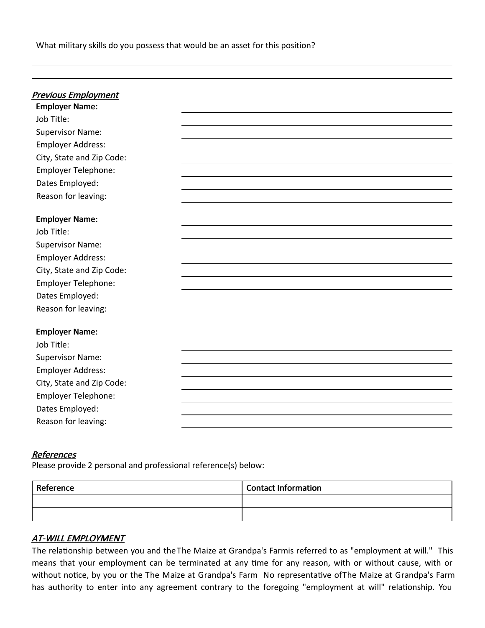What military skills do you possess that would be an asset for this position?

| <b>Previous Employment</b> |  |
|----------------------------|--|
| <b>Employer Name:</b>      |  |
| Job Title:                 |  |
| <b>Supervisor Name:</b>    |  |
| <b>Employer Address:</b>   |  |
| City, State and Zip Code:  |  |
| Employer Telephone:        |  |
| Dates Employed:            |  |
| Reason for leaving:        |  |
| <b>Employer Name:</b>      |  |
| Job Title:                 |  |
| <b>Supervisor Name:</b>    |  |
| <b>Employer Address:</b>   |  |
| City, State and Zip Code:  |  |
| <b>Employer Telephone:</b> |  |
| Dates Employed:            |  |
| Reason for leaving:        |  |
| <b>Employer Name:</b>      |  |
| Job Title:                 |  |
|                            |  |
| <b>Supervisor Name:</b>    |  |
| <b>Employer Address:</b>   |  |
| City, State and Zip Code:  |  |
| Employer Telephone:        |  |
| Dates Employed:            |  |
| Reason for leaving:        |  |

## References

Please provide 2 personal and professional reference(s) below:

| Reference | <b>Contact Information</b> |
|-----------|----------------------------|
|           |                            |
|           |                            |

# AT-WILL EMPLOYMENT

The relationship between you and theThe Maize at Grandpa's Farmis referred to as "employment at will." This means that your employment can be terminated at any time for any reason, with or without cause, with or without notice, by you or the The Maize at Grandpa's Farm No representative ofThe Maize at Grandpa's Farm has authority to enter into any agreement contrary to the foregoing "employment at will" relationship. You